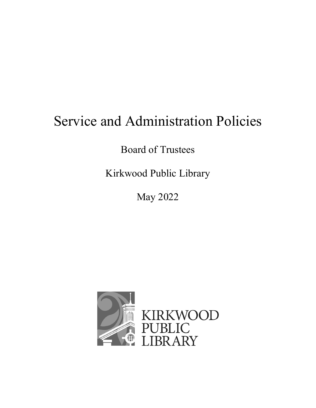# Service and Administration Policies

Board of Trustees

Kirkwood Public Library

May 2022

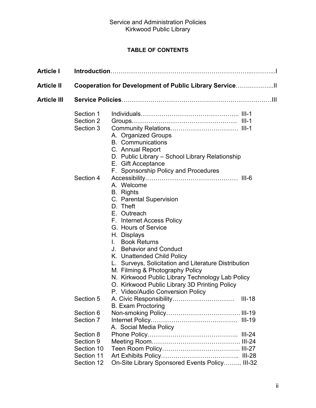## **TABLE OF CONTENTS**

| <b>Article I</b>   |                                                                  |                                                                                                                                                                                                                                                                                                                                                                                                                                                                                    |  |  |
|--------------------|------------------------------------------------------------------|------------------------------------------------------------------------------------------------------------------------------------------------------------------------------------------------------------------------------------------------------------------------------------------------------------------------------------------------------------------------------------------------------------------------------------------------------------------------------------|--|--|
| <b>Article II</b>  | Cooperation for Development of Public Library Service            |                                                                                                                                                                                                                                                                                                                                                                                                                                                                                    |  |  |
| <b>Article III</b> | Service Policies…………………………………………………………………………                     |                                                                                                                                                                                                                                                                                                                                                                                                                                                                                    |  |  |
|                    | Section 1<br>Section 2<br>Section 3                              | A. Organized Groups<br><b>B.</b> Communications<br>C. Annual Report<br>D. Public Library - School Library Relationship<br>E. Gift Acceptance<br>F. Sponsorship Policy and Procedures                                                                                                                                                                                                                                                                                               |  |  |
|                    | Section 4                                                        | $III-6$<br>A. Welcome<br><b>B.</b> Rights<br>C. Parental Supervision<br>D. Theft<br>E. Outreach<br>F. Internet Access Policy<br>G. Hours of Service<br>H. Displays<br>I. Book Returns<br>J. Behavior and Conduct<br>K. Unattended Child Policy<br>L. Surveys, Solicitation and Literature Distribution<br>M. Filming & Photography Policy<br>N. Kirkwood Public Library Technology Lab Policy<br>O. Kirkwood Public Library 3D Printing Policy<br>P. Video/Audio Conversion Policy |  |  |
|                    | Section 5                                                        | A. Civic Responsibility<br>$III-18$<br><b>B. Exam Proctoring</b>                                                                                                                                                                                                                                                                                                                                                                                                                   |  |  |
|                    | Section 6<br>Section 7                                           | A. Social Media Policy                                                                                                                                                                                                                                                                                                                                                                                                                                                             |  |  |
|                    | Section 8<br>Section 9<br>Section 10<br>Section 11<br>Section 12 | On-Site Library Sponsored Events Policy III-32                                                                                                                                                                                                                                                                                                                                                                                                                                     |  |  |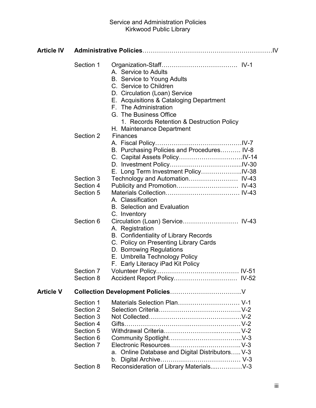### Service and Administration Policies Kirkwood Public Library

| <b>Article IV</b> |                                                                                                      |                                                                                                                                                                                                                                                          |  |
|-------------------|------------------------------------------------------------------------------------------------------|----------------------------------------------------------------------------------------------------------------------------------------------------------------------------------------------------------------------------------------------------------|--|
|                   | Section 1                                                                                            | A. Service to Adults<br>B. Service to Young Adults<br>C. Service to Children<br>D. Circulation (Loan) Service<br>E. Acquisitions & Cataloging Department<br>F. The Administration<br>G. The Business Office<br>1. Records Retention & Destruction Policy |  |
|                   | Section 2                                                                                            | H. Maintenance Department<br><b>Finances</b><br>B. Purchasing Policies and Procedures IV-8<br>E. Long Term Investment PolicyIV-38                                                                                                                        |  |
|                   | Section 3<br>Section 4<br>Section 5                                                                  | A. Classification<br><b>B.</b> Selection and Evaluation<br>C. Inventory                                                                                                                                                                                  |  |
|                   | Section 6                                                                                            | A. Registration<br><b>B. Confidentiality of Library Records</b><br>C. Policy on Presenting Library Cards<br>D. Borrowing Regulations<br>E. Umbrella Technology Policy<br>F. Early Literacy iPad Kit Policy                                               |  |
|                   | Section 7<br>Section 8                                                                               |                                                                                                                                                                                                                                                          |  |
| <b>Article V</b>  |                                                                                                      |                                                                                                                                                                                                                                                          |  |
|                   | Section 1<br>Section 2<br>Section 3<br>Section 4<br>Section 5<br>Section 6<br>Section 7<br>Section 8 | Materials Selection Plan V-1<br>a. Online Database and Digital Distributors V-3<br>Reconsideration of Library MaterialsV-3                                                                                                                               |  |
|                   |                                                                                                      |                                                                                                                                                                                                                                                          |  |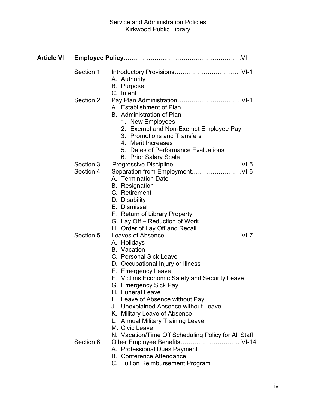| Article VI |                        |                                                                                                                                                                                                                                                                                                                                                                                                                                                |
|------------|------------------------|------------------------------------------------------------------------------------------------------------------------------------------------------------------------------------------------------------------------------------------------------------------------------------------------------------------------------------------------------------------------------------------------------------------------------------------------|
|            | Section 1              | A. Authority<br><b>B.</b> Purpose<br>C. Intent                                                                                                                                                                                                                                                                                                                                                                                                 |
|            | Section 2              | A. Establishment of Plan<br><b>B.</b> Administration of Plan<br>1. New Employees<br>2. Exempt and Non-Exempt Employee Pay<br>3. Promotions and Transfers<br>4. Merit Increases<br>5. Dates of Performance Evaluations<br>6. Prior Salary Scale                                                                                                                                                                                                 |
|            | Section 3<br>Section 4 | A. Termination Date<br><b>B.</b> Resignation<br>C. Retirement<br>D. Disability<br>E. Dismissal<br>F. Return of Library Property<br>G. Lay Off – Reduction of Work<br>H. Order of Lay Off and Recall                                                                                                                                                                                                                                            |
|            | Section 5              | A. Holidays<br><b>B.</b> Vacation<br>C. Personal Sick Leave<br>D. Occupational Injury or Illness<br>E. Emergency Leave<br>F. Victims Economic Safety and Security Leave<br>G. Emergency Sick Pay<br>H. Funeral Leave<br>I. Leave of Absence without Pay<br>J. Unexplained Absence without Leave<br>K. Military Leave of Absence<br>L. Annual Military Training Leave<br>M. Civic Leave<br>N. Vacation/Time Off Scheduling Policy for All Staff |
|            | Section 6              | Other Employee Benefits VI-14<br>A. Professional Dues Payment<br><b>B.</b> Conference Attendance<br>C. Tuition Reimbursement Program                                                                                                                                                                                                                                                                                                           |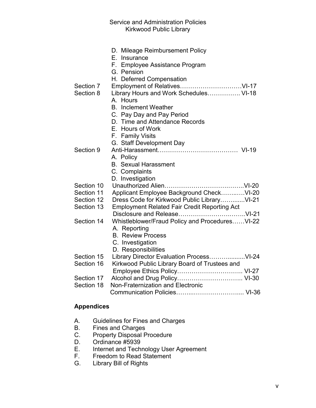#### Service and Administration Policies Kirkwood Public Library

| Section 7<br>Section 8 | D. Mileage Reimbursement Policy<br>E. Insurance<br>F. Employee Assistance Program<br>G. Pension<br>H. Deferred Compensation<br>Library Hours and Work Schedules VI-18<br>A. Hours<br><b>B.</b> Inclement Weather<br>C. Pay Day and Pay Period<br>D. Time and Attendance Records<br>E. Hours of Work |
|------------------------|-----------------------------------------------------------------------------------------------------------------------------------------------------------------------------------------------------------------------------------------------------------------------------------------------------|
| Section 9              | F. Family Visits<br>G. Staff Development Day                                                                                                                                                                                                                                                        |
|                        | A. Policy<br><b>B.</b> Sexual Harassment<br>C. Complaints<br>D. Investigation                                                                                                                                                                                                                       |
| Section 10             |                                                                                                                                                                                                                                                                                                     |
| Section 11             | Applicant Employee Background CheckVI-20                                                                                                                                                                                                                                                            |
| Section 12             | Dress Code for Kirkwood Public LibraryVI-21                                                                                                                                                                                                                                                         |
| Section 13             | <b>Employment Related Fair Credit Reporting Act</b>                                                                                                                                                                                                                                                 |
| Section 14             | Whistleblower/Fraud Policy and ProceduresVI-22<br>A. Reporting<br><b>B. Review Process</b><br>C. Investigation<br>D. Responsibilities                                                                                                                                                               |
| Section 15             |                                                                                                                                                                                                                                                                                                     |
| Section 16             | Kirkwood Public Library Board of Trustees and                                                                                                                                                                                                                                                       |
|                        |                                                                                                                                                                                                                                                                                                     |
| Section 17             |                                                                                                                                                                                                                                                                                                     |
| Section 18             | Non-Fraternization and Electronic                                                                                                                                                                                                                                                                   |
|                        |                                                                                                                                                                                                                                                                                                     |

#### **Appendices**

- A. Guidelines for Fines and Charges<br>B. Fines and Charges
- B. Fines and Charges<br>C. Property Disposal P
- Property Disposal Procedure
- D. Ordinance #5939<br>E. Internet and Tech
- E. Internet and Technology User Agreement<br>F. Freedom to Read Statement
- F. Freedom to Read Statement<br>G. Library Bill of Rights
- Library Bill of Rights